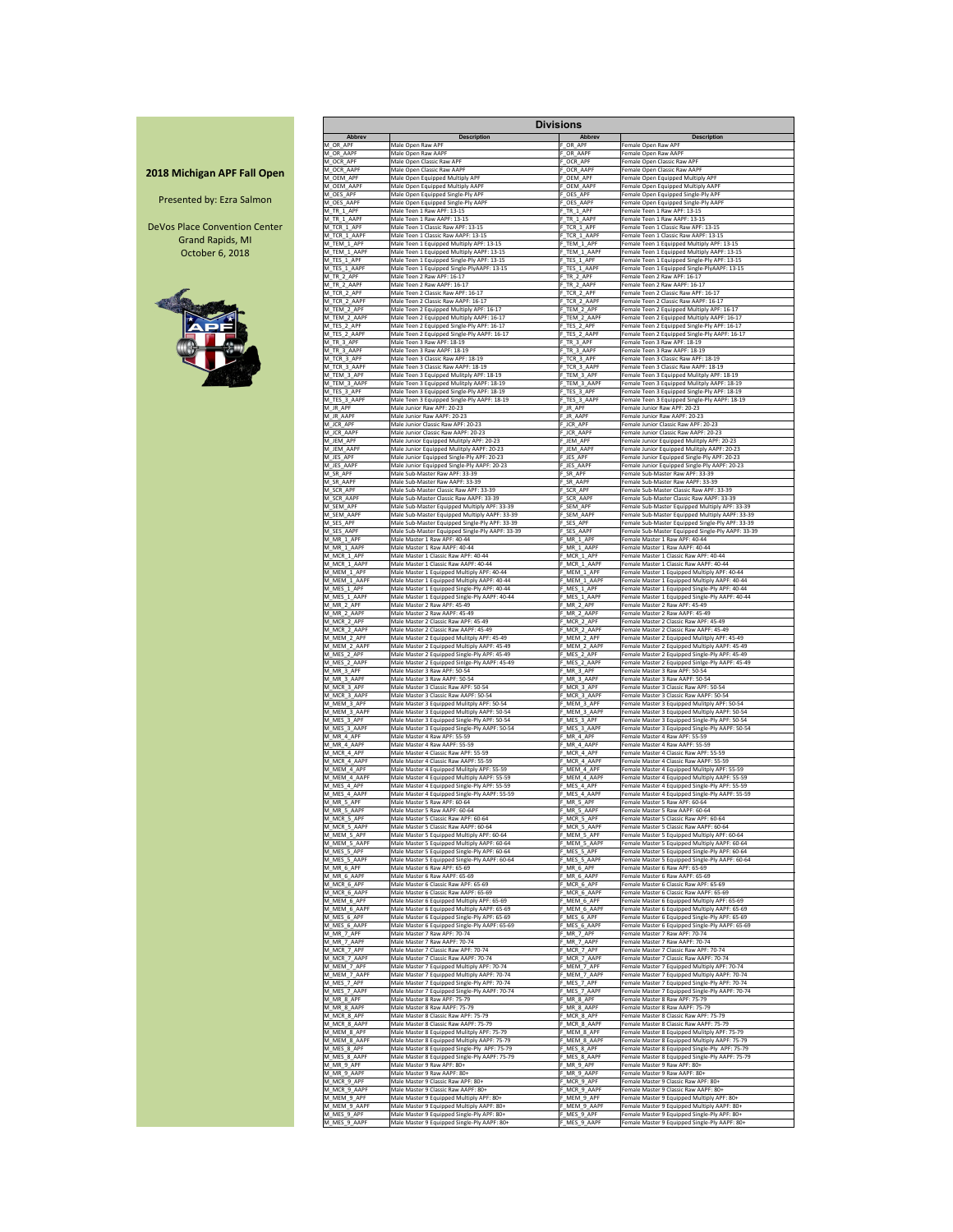|                                    |                             |                                                                                     | <b>Divisions</b>            |                                                                                         |
|------------------------------------|-----------------------------|-------------------------------------------------------------------------------------|-----------------------------|-----------------------------------------------------------------------------------------|
|                                    | <b>Abbrev</b>               | <b>Description</b>                                                                  | <b>Abbrev</b>               | <b>Description</b>                                                                      |
|                                    | M OR APF                    | Male Open Raw APF                                                                   | OR APF                      | Female Open Raw APF                                                                     |
|                                    | M OR AAPF                   | Male Open Raw AAPF                                                                  | OR AAPF                     | Female Open Raw AAPF                                                                    |
|                                    | M OCR APF                   | Male Open Classic Raw APF                                                           | OCR APF                     | Female Open Classic Raw APF                                                             |
| <b>2018 Michigan APF Fall Open</b> | M OCR AAPF                  | Male Open Classic Raw AAPF                                                          | OCR AAPF                    | Female Open Classic Raw AAPF                                                            |
|                                    | M_OEM_APF                   | Male Open Equipped Multiply APF                                                     | OEM APF                     | Female Open Equipped Multiply APF                                                       |
|                                    | M OEM AAPF                  | Male Open Equipped Multiply AAPF                                                    | <b>OEM AAPF</b>             | Female Open Equipped Multiply AAPF                                                      |
| Presented by: Ezra Salmon          | M OES APF                   | Male Open Equipped Single-Ply APF                                                   | OES APF                     | Female Open Equipped Single-Ply APF                                                     |
|                                    | M OES AAPF                  | Male Open Equipped Single-Ply AAPF                                                  | OES AAPF                    | Female Open Equipped Single-Ply AAPF                                                    |
|                                    | M TR 1 APF                  | Male Teen 1 Raw APF: 13-15                                                          | $T$ TR 1 APF                | Female Teen 1 Raw APF: 13-15                                                            |
| DeVos Place Convention Center      | M TR 1 AAPF                 | Male Teen 1 Raw AAPF: 13-15                                                         | F TR 1 AAPF                 | Female Teen 1 Raw AAPF: 13-15                                                           |
|                                    | M TCR 1 APF                 | Male Teen 1 Classic Raw APF: 13-15                                                  | F_TCR_1_APF                 | Female Teen 1 Classic Raw APF: 13-15                                                    |
| <b>Grand Rapids, MI</b>            | M TCR 1_AAPF                | Male Teen 1 Classic Raw AAPF: 13-15                                                 | F TCR 1 AAPF                | Female Teen 1 Classic Raw AAPF: 13-15                                                   |
| October 6, 2018                    | M TEM 1 APF                 | Male Teen 1 Equipped Multiply APF: 13-15                                            | F_TEM_1_APF                 | Female Teen 1 Equipped Multiply APF: 13-15                                              |
|                                    | M TEM 1 AAPF                | Male Teen 1 Equipped Multiply AAPF: 13-15                                           | F TEM 1 AAPF                | Female Teen 1 Equipped Multiply AAPF: 13-15                                             |
|                                    | M_TES_1_APF                 | Male Teen 1 Equipped Single-Ply APF: 13-15                                          | F_TES_1_APF                 | Female Teen 1 Equipped Single-Ply APF: 13-15                                            |
|                                    | M_TES_1_AAPF                | Male Teen 1 Equipped Single-PlyAAPF: 13-15                                          | F_TES_1_AAPF                | Female Teen 1 Equipped Single-PlyAAPF: 13-15                                            |
|                                    | M_TR_2_APF                  | Male Teen 2 Raw APF: 16-17                                                          | F TR 2 APF                  | Female Teen 2 Raw APF: 16-17                                                            |
|                                    | M TR 2 AAPF                 | Male Teen 2 Raw AAPF: 16-17                                                         | F TR 2 AAPF                 | Female Teen 2 Raw AAPF: 16-17                                                           |
|                                    | M_TCR_2_APF                 | Male Teen 2 Classic Raw APF: 16-17                                                  | F_TCR_2_APF                 | Female Teen 2 Classic Raw APF: 16-17                                                    |
|                                    | M TCR 2 AAPF                | Male Teen 2 Classic Raw AAPF: 16-17                                                 | F_TCR_2_AAPF                | Female Teen 2 Classic Raw AAPF: 16-17                                                   |
|                                    | M TEM 2 APF                 | Male Teen 2 Equipped Multiply APF: 16-17                                            | F_TEM_2_APF                 | Female Teen 2 Equipped Multiply APF: 16-17                                              |
|                                    | M TEM 2 AAPF                | Male Teen 2 Equipped Multiply AAPF: 16-17                                           | F_TEM_2_AAPF                | Female Teen 2 Equipped Multiply AAPF: 16-17                                             |
|                                    | M_TES_2_APF                 | Male Teen 2 Equipped Single-Ply APF: 16-17                                          | F_TES_2_APF                 | Female Teen 2 Equipped Single-Ply APF: 16-17                                            |
|                                    | M TES 2 AAPF                | Male Teen 2 Equipped Single-Ply AAPF: 16-17                                         | F TES 2 AAPF                | Female Teen 2 Equipped Single-Ply AAPF: 16-17                                           |
|                                    | M TR 3 APF                  | Male Teen 3 Raw APF: 18-19                                                          | F TR 3 APF                  | Female Teen 3 Raw APF: 18-19                                                            |
|                                    | M TR 3 AAPF                 | Male Teen 3 Raw AAPF: 18-19                                                         | F TR 3 AAPF                 | Female Teen 3 Raw AAPF: 18-19                                                           |
|                                    | M_TCR_3_APF                 | Male Teen 3 Classic Raw APF: 18-19                                                  | F_TCR_3_APF                 | Female Teen 3 Classic Raw APF: 18-19                                                    |
|                                    | M_TCR_3_AAPF                | Male Teen 3 Classic Raw AAPF: 18-19                                                 | F_TCR_3_AAPF                | Female Teen 3 Classic Raw AAPF: 18-19                                                   |
|                                    | M_TEM_3_APF                 | Male Teen 3 Equipped Mulitply APF: 18-19                                            | F_TEM_3_APF                 | Female Teen 3 Equipped Mulitply APF: 18-19                                              |
|                                    | M_TEM_3_AAPF                | Male Teen 3 Equipped Mulitply AAPF: 18-19                                           | F TEM 3 AAPF                | Female Teen 3 Equipped Mulitply AAPF: 18-19                                             |
|                                    | M_TES_3_APF                 | Male Teen 3 Equipped Single-Ply APF: 18-19                                          | F_TES_3_APF                 | Female Teen 3 Equipped Single-Ply APF: 18-19                                            |
|                                    | M_TES_3_AAPF                | Male Teen 3 Equipped Single-Ply AAPF: 18-19                                         | F_TES_3_AAPF                | Female Teen 3 Equipped Single-Ply AAPF: 18-19                                           |
|                                    | M_JR_APF                    | Male Junior Raw APF: 20-23                                                          | F JR APF                    | Female Junior Raw APF: 20-23                                                            |
|                                    | M_JR_AAPF                   | Male Junior Raw AAPF: 20-23                                                         | F_JR_AAPF                   | Female Junior Raw AAPF: 20-23                                                           |
|                                    | M_JCR_APF                   | Male Junior Classic Raw APF: 20-23                                                  | F_JCR_APF                   | Female Junior Classic Raw APF: 20-23                                                    |
|                                    | M_JCR_AAPF                  | Male Junior Classic Raw AAPF: 20-23                                                 | F_JCR_AAPF                  | Female Junior Classic Raw AAPF: 20-23                                                   |
|                                    | M_JEM_APF                   | Male Junior Equipped Mulitply APF: 20-23                                            | JEM_APF                     | Female Junior Equipped Mulitply APF: 20-23                                              |
|                                    | M_JEM_AAPF                  | Male Junior Equipped Mulitply AAPF: 20-23                                           | -_JEM_AAPF                  | Female Junior Equipped Mulitply AAPF: 20-23                                             |
|                                    | M_JES_APF                   | Male Junior Equipped Single-Ply APF: 20-23                                          | F_JES_APF                   | Female Junior Equipped Single-Ply APF: 20-23                                            |
|                                    | M_JES_AAPF                  | Male Junior Equipped Single-Ply AAPF: 20-23                                         | <b>JES_AAPF</b>             | Female Junior Equipped Single-Ply AAPF: 20-23                                           |
|                                    | M SR APF                    | Male Sub-Master Raw APF: 33-39                                                      | F_SR_APF                    | Female Sub-Master Raw APF: 33-39                                                        |
|                                    | M_SR_AAPF                   | Male Sub-Master Raw AAPF: 33-39                                                     | F_SR_AAPF                   | Female Sub-Master Raw AAPF: 33-39                                                       |
|                                    | M_SCR_APF                   | Male Sub-Master Classic Raw APF: 33-39                                              | F_SCR_APF                   | Female Sub-Master Classic Raw APF: 33-39                                                |
|                                    | M_SCR_AAPF                  | Male Sub-Master Classic Raw AAPF: 33-39                                             | F SCR AAPF                  | Female Sub-Master Classic Raw AAPF: 33-39                                               |
|                                    | M_SEM_APF                   | Male Sub-Master Equipped Multiply APF: 33-39                                        | F_SEM_APF                   | Female Sub-Master Equipped Multiply APF: 33-39                                          |
|                                    | M SEM AAPF                  | Male Sub-Master Equipped Multiply AAPF: 33-39                                       | SEM AAPF                    | Female Sub-Master Equipped Multiply AAPF: 33-39                                         |
|                                    | M SES APF                   | Male Sub-Master Equipped Single-Ply APF: 33-39                                      | SES APF                     | Female Sub-Master Equipped Single-Ply APF: 33-39                                        |
|                                    | M_SES_AAPF                  | Male Sub-Master Equipped Single-Ply AAPF: 33-39                                     | _SES_AAPF                   | Female Sub-Master Equipped Single-Ply AAPF: 33-39                                       |
|                                    | M_MR_1_APF                  | Male Master 1 Raw APF: 40-44                                                        | F_MR_1_APF                  | Female Master 1 Raw APF: 40-44                                                          |
|                                    | M_MR_1_AAPF                 | Male Master 1 Raw AAPF: 40-44                                                       | $-MR_1$ AAPF                | Female Master 1 Raw AAPF: 40-44                                                         |
|                                    | M_MCR_1_APF                 | Male Master 1 Classic Raw APF: 40-44                                                | F_MCR_1_APF                 | Female Master 1 Classic Raw APF: 40-44                                                  |
|                                    | M MCR 1 AAPF                | Male Master 1 Classic Raw AAPF: 40-44                                               | F MCR 1 AAPF                | Female Master 1 Classic Raw AAPF: 40-44                                                 |
|                                    | M_MEM_1_APF                 | Male Master 1 Equipped Multiply APF: 40-44                                          | F_MEM_1_APF                 | Female Master 1 Equipped Multiply APF: 40-44                                            |
|                                    | M_MEM_1_AAPF                | Male Master 1 Equipped Multiply AAPF: 40-44                                         | MEM_1_AAPF_                 | Female Master 1 Equipped Multiply AAPF: 40-44                                           |
|                                    | M_MES_1_APF                 | Male Master 1 Equipped Single-Ply APF: 40-44                                        | F_MES_1_APF                 | Female Master 1 Equipped Single-Ply APF: 40-44                                          |
|                                    | M_MES_1_AAPF                | Male Master 1 Equipped Single-Ply AAPF: 40-44                                       | F_MES_1_AAPF                | Female Master 1 Equipped Single-Ply AAPF: 40-44                                         |
|                                    | M MR 2 APF                  | Male Master 2 Raw APF: 45-49                                                        | F MR 2 APF                  | Female Master 2 Raw APF: 45-49                                                          |
|                                    | M_MR_2_AAPF                 | Male Master 2 Raw AAPF: 45-49                                                       | $-MR_2$ AAPF                | Female Master 2 Raw AAPF: 45-49                                                         |
|                                    | M_MCR_2_APF                 | Male Master 2 Classic Raw APF: 45-49                                                | F_MCR_2_APF                 | Female Master 2 Classic Raw APF: 45-49                                                  |
|                                    | M MCR 2 AAPF                | Male Master 2 Classic Raw AAPF: 45-49<br>Male Master 2 Equipped Mulitply APF: 45-49 | F MCR 2 AAPF<br>F_MEM_2_APF | Female Master 2 Classic Raw AAPF: 45-49<br>Female Master 2 Equipped Mulitply APF: 45-49 |
|                                    | M_MEM_2_APF<br>M MEM 2 AAPF | Male Master 2 Equipped Multiply AAPF: 45-49                                         | MEM 2 AAPF                  | Female Master 2 Equipped Multiply AAPF: 45-49                                           |
|                                    | M_MES_2_APF                 | Male Master 2 Equipped Single-Ply APF: 45-49                                        | F_MES_2_APF                 | Female Master 2 Equipped Single-Ply APF: 45-49                                          |
|                                    | M_MES_2_AAPF                | Male Master 2 Equipped Sinlge-Ply AAPF: 45-49                                       | MES_2_AAPF                  | Female Master 2 Equipped Sinlge-Ply AAPF: 45-49                                         |
|                                    | M MR 3 APF                  | Male Master 3 Raw APF: 50-54                                                        | F_MR_3_APF                  | Female Master 3 Raw APF: 50-54                                                          |
|                                    | M_MR_3_AAPF                 | Male Master 3 Raw AAPF: 50-54                                                       | $-MR_3$ AAPF                | Female Master 3 Raw AAPF: 50-54                                                         |
|                                    | M_MCR_3_APF                 | Male Master 3 Classic Raw APF: 50-54                                                | $-$ MCR $_3$ APF            | Female Master 3 Classic Raw APF: 50-54                                                  |
|                                    | M_MCR_3_AAPF                | Male Master 3 Classic Raw AAPF: 50-54                                               | MCR_3_AAPF                  | Female Master 3 Classic Raw AAPF: 50-54                                                 |
|                                    | M MEM 3 APF                 | Male Master 3 Equipped Mulitply APF: 50-54                                          | $-$ MEM_3_APF               | Female Master 3 Equipped Mulitply APF: 50-54                                            |
|                                    | M_MEM_3_AAPF                | Male Master 3 Equipped Multiply AAPF: 50-54                                         | _MEM_3_AAPF                 | Female Master 3 Equipped Multiply AAPF: 50-54                                           |
|                                    | M_MES_3_APF                 | Male Master 3 Equipped Single-Ply APF: 50-54                                        | MES_3_APF_                  | Female Master 3 Equipped Single-Ply APF: 50-54                                          |
|                                    | M_MES_3_AAPF                | Male Master 3 Equipped Single-Ply AAPF: 50-54                                       | MES_3_AAPF_                 | Female Master 3 Equipped Single-Ply AAPF: 50-54                                         |
|                                    | M_MR_4_APF                  | Male Master 4 Raw APF: 55-59<br>Male Master 4 Raw AAPF: 55-59                       | F_MR_4_APF                  | Female Master 4 Raw APF: 55-59                                                          |
|                                    | M_MR_4_AAPF<br>M MCR 4 APF  | Male Master 4 Classic Raw APF: 55-59                                                | $-MR_4$ AAPF<br>MCR 4 APF   | Female Master 4 Raw AAPF: 55-59<br>Female Master 4 Classic Raw APF: 55-59               |
|                                    | M MCR 4 AAPF                | Male Master 4 Classic Raw AAPF: 55-59                                               | F_MCR_4_AAPF                | Female Master 4 Classic Raw AAPF: 55-59                                                 |
|                                    | M MEM 4 APF                 | Male Master 4 Equipped Mulitply APF: 55-59                                          | MEM_4_APF                   | Female Master 4 Equipped Mulitply APF: 55-59                                            |
|                                    | M MEM 4 AAPF                | Male Master 4 Equipped Multiply AAPF: 55-59                                         | MEM 4 AAPF                  | Female Master 4 Equipped Multiply AAPF: 55-59                                           |
|                                    | M_MES_4_APF                 | Male Master 4 Equipped Single-Ply APF: 55-59                                        | $MES_4$ APF                 | Female Master 4 Equipped Single-Ply APF: 55-59                                          |
|                                    | M_MES_4_AAPF                | Male Master 4 Equipped Single-Ply AAPF: 55-59                                       | MES 4 AAPF                  | Female Master 4 Equipped Single-Ply AAPF: 55-59                                         |
|                                    | M_MR_5_APF                  | Male Master 5 Raw APF: 60-64                                                        | F_MR_5_APF                  | Female Master 5 Raw APF: 60-64                                                          |
|                                    | M_MR_5_AAPF                 | Male Master 5 Raw AAPF: 60-64                                                       | F_MR_5_AAPF                 | Female Master 5 Raw AAPF: 60-64                                                         |
|                                    | M_MCR_5_APF                 | Male Master 5 Classic Raw APF: 60-64                                                | F_MCR_5_APF                 | Female Master 5 Classic Raw APF: 60-64                                                  |
|                                    | M MCR 5 AAPF                | Male Master 5 Classic Raw AAPF: 60-64                                               | F_MCR_5_AAPF                | Female Master 5 Classic Raw AAPF: 60-64                                                 |
|                                    | M_MEM_5_APF                 | Male Master 5 Equipped Multiply APF: 60-64                                          | F_MEM_5_APF                 | Female Master 5 Equipped Multiply APF: 60-64                                            |
|                                    | M MEM 5 AAPF                | Male Master 5 Equipped Multiply AAPF: 60-64                                         | F_MEM_5_AAPF                | Female Master 5 Equipped Multiply AAPF: 60-64                                           |
|                                    | M_MES_5_APF                 | Male Master 5 Equipped Single-Ply APF: 60-64                                        | MES_5_APF_                  | Female Master 5 Equipped Single-Ply APF: 60-64                                          |
|                                    | M_MES_5_AAPF                | Male Master 5 Equipped Single-Ply AAPF: 60-64                                       | F_MES_5_AAPF                | Female Master 5 Equipped Single-Ply AAPF: 60-64                                         |
|                                    | M_MR_6_APF                  | Male Master 6 Raw APF: 65-69<br>Male Master 6 Raw AAPF: 65-69                       | F_MR_6_APF                  | Female Master 6 Raw APF: 65-69<br>Female Master 6 Raw AAPF: 65-69                       |
|                                    | M MR 6 AAPF<br>M MCR 6 APF  | Male Master 6 Classic Raw APF: 65-69                                                | F_MR_6_AAPF<br>MCR_6_APF    | Female Master 6 Classic Raw APF: 65-69                                                  |
|                                    | M_MCR_6_AAPF                | Male Master 6 Classic Raw AAPF: 65-69                                               | F_MCR_6_AAPF                | Female Master 6 Classic Raw AAPF: 65-69                                                 |
|                                    | M_MEM_6_APF                 | Male Master 6 Equipped Multiply APF: 65-69                                          | MEM 6 APF                   | Female Master 6 Equipped Multiply APF: 65-69                                            |
|                                    | M MEM 6 AAPF                | Male Master 6 Equipped Multiply AAPF: 65-69                                         | MEM 6 AAPF                  | Female Master 6 Equipped Multiply AAPF: 65-69                                           |
|                                    | M_MES_6_APF                 | Male Master 6 Equipped Single-Ply APF: 65-69                                        | $MES_6$ APF                 | Female Master 6 Equipped Single-Ply APF: 65-69                                          |
|                                    | M_MES_6_AAPF                | Male Master 6 Equipped Single-Ply AAPF: 65-69                                       | F_MES_6_AAPF                | Female Master 6 Equipped Single-Ply AAPF: 65-69                                         |
|                                    | M_MR_7_APF                  | Male Master 7 Raw APF: 70-74                                                        | $F_MR_7_APF$                | Female Master 7 Raw APF: 70-74                                                          |
|                                    | M_MR_7_AAPF                 | Male Master 7 Raw AAPF: 70-74                                                       | F_MR_7_AAPF                 | Female Master 7 Raw AAPF: 70-74                                                         |
|                                    | M MCR 7 APF                 | Male Master 7 Classic Raw APF: 70-74                                                | MCR 7 APF                   | Female Master 7 Classic Raw APF: 70-74                                                  |
|                                    | M MCR 7 AAPF                | Male Master 7 Classic Raw AAPF: 70-74                                               | MCR_7_AAPF                  | Female Master 7 Classic Raw AAPF: 70-74                                                 |
|                                    | M_MEM_7_APF                 | Male Master 7 Equipped Multiply APF: 70-74                                          | MEM_7_APF_                  | Female Master 7 Equipped Multiply APF: 70-74                                            |
|                                    | M_MEM_7_AAPF                | Male Master 7 Equipped Multiply AAPF: 70-74                                         | MEM_7_AAPF                  | Female Master 7 Equipped Multiply AAPF: 70-74                                           |
|                                    | M_MES_7_APF                 | Male Master 7 Equipped Single-Ply APF: 70-74                                        | MES_7_APF                   | Female Master 7 Equipped Single-Ply APF: 70-74                                          |
|                                    | M_MES_7_AAPF                | Male Master 7 Equipped Single-Ply AAPF: 70-74                                       | MES_7_AAPF_                 | Female Master 7 Equipped Single-Ply AAPF: 70-74                                         |
|                                    | M MR 8 APF                  | Male Master 8 Raw APF: 75-79                                                        | F MR 8 APF                  | Female Master 8 Raw APF: 75-79                                                          |
|                                    | M_MR_8_AAPF                 | Male Master 8 Raw AAPF: 75-79                                                       | MR_8_AAPF                   | Female Master 8 Raw AAPF: 75-79                                                         |
|                                    | M MCR 8 APF                 | Male Master 8 Classic Raw APF: 75-79                                                | MCR_8_APF                   | Female Master 8 Classic Raw APF: 75-79                                                  |
|                                    | M MCR 8 AAPF                | Male Master 8 Classic Raw AAPF: 75-79                                               | MCR_8_AAPF                  | Female Master 8 Classic Raw AAPF: 75-79                                                 |
|                                    | M MEM 8 APF                 | Male Master 8 Equipped Mulitply APF: 75-79                                          | MEM_8_APF                   | Female Master 8 Equipped Mulitply APF: 75-79                                            |
|                                    | M MEM 8 AAPF                | Male Master 8 Equipped Multiply AAPF: 75-79                                         | MEM_8_AAPF                  | Female Master 8 Equipped Multiply AAPF: 75-79                                           |
|                                    | M MES 8 APF                 | Male Master 8 Equipped Single-Ply APF: 75-79                                        | MES 8 APF                   | Female Master 8 Equipped Single-Ply APF: 75-79                                          |
|                                    | M_MES_8_AAPF                | Male Master 8 Equipped Single-Ply AAPF: 75-79                                       | MES_8_AAPF                  | Female Master 8 Equipped Single-Ply AAPF: 75-79                                         |
|                                    | M_MR_9_APF                  | Male Master 9 Raw APF: 80+                                                          | $-MR_9$ APF                 | Female Master 9 Raw APF: 80+                                                            |
|                                    | M_MR_9_AAPF                 | Male Master 9 Raw AAPF: 80+                                                         | MR_9_AAPF                   | Female Master 9 Raw AAPF: 80+                                                           |
|                                    | M_MCR_9_APF                 | Male Master 9 Classic Raw APF: 80+                                                  | F_MCR_9_APF                 | Female Master 9 Classic Raw APF: 80+                                                    |
|                                    | M_MCR_9_AAPF                | Male Master 9 Classic Raw AAPF: 80+<br>Male Master 9 Equipped Multiply APF: 80+     | MCR_9_AAPF                  | Female Master 9 Classic Raw AAPF: 80+<br>Female Master 9 Equipped Multiply APF: 80+     |
|                                    | M_MEM_9_APF<br>M_MEM_9_AAPF | Male Master 9 Equipped Multiply AAPF: 80+                                           | MEM_9_APF_<br>MEM_9_AAPF_   | Female Master 9 Equipped Multiply AAPF: 80+                                             |
|                                    | M_MES_9_APF                 | Male Master 9 Equipped Single-Ply APF: 80+                                          | F_MES_9_APF                 | Female Master 9 Equipped Single-Ply APF: 80+                                            |
|                                    | M MES 9 AAPF                | Male Master 9 Equipped Single-Ply AAPF: 80+                                         | F_MES_9_AAPF                | Female Master 9 Equipped Single-Ply AAPF: 80+                                           |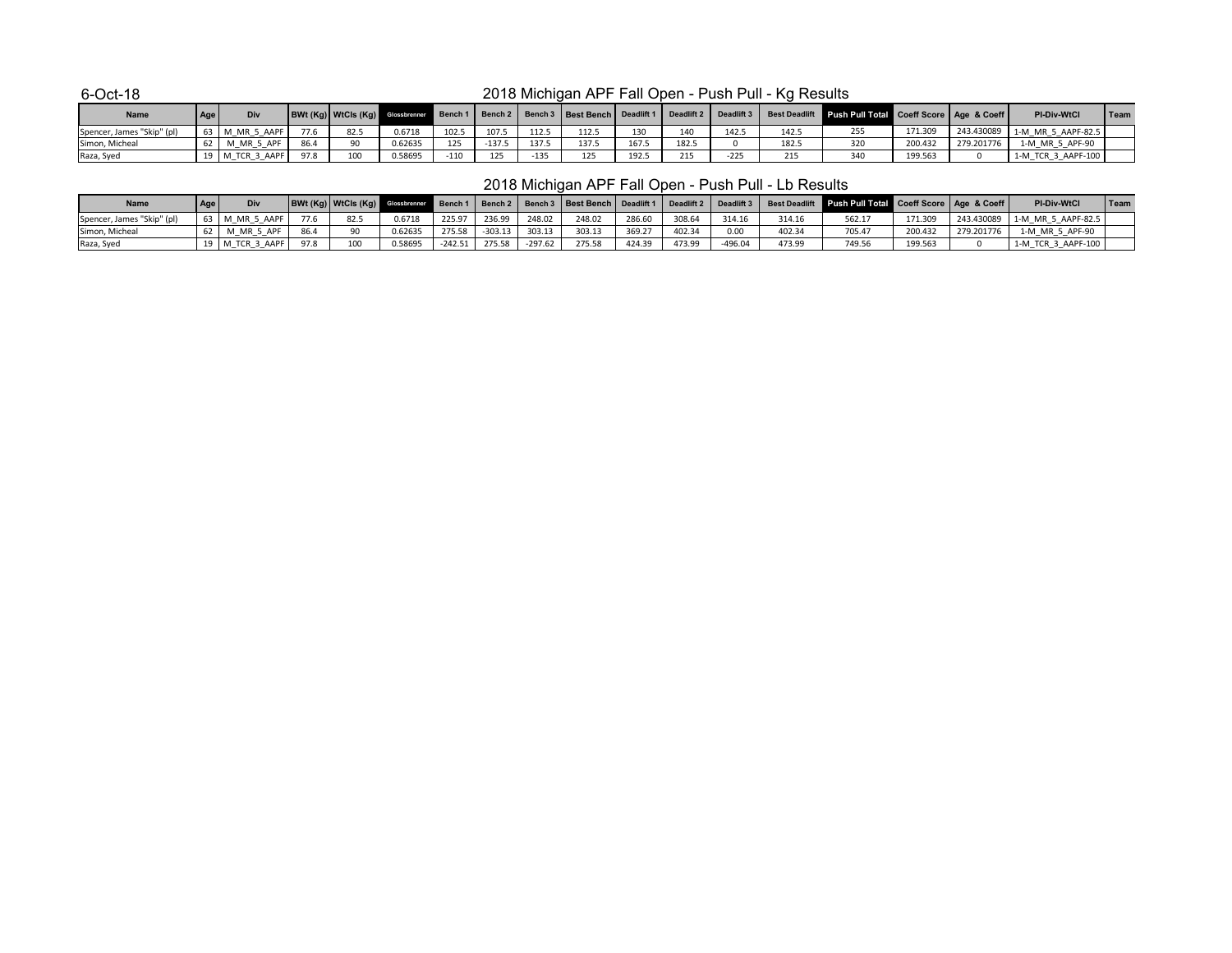| <b>Name</b>                | Age | Div              |      |      |         |        |          |        | BWt (Kg)   WtCls (Kg)   Glossbrenner   Bench 1   Bench 2   Bench 3   Best Bench   Deadlift 1 |       | Deadlift 2 | Deadlift 3 |       | Best Deadlift Push Pull Total Coeff Score   Age & Coeff |         |            | <b>PI-Div-WtCl</b>   | Team |
|----------------------------|-----|------------------|------|------|---------|--------|----------|--------|----------------------------------------------------------------------------------------------|-------|------------|------------|-------|---------------------------------------------------------|---------|------------|----------------------|------|
| Spencer, James "Skip" (pl) |     | 63   M MR 5 AAPF | 77.6 | 82.5 | 0.6718  | 102.5  | 107.5    | 112.5  | 112.5                                                                                        |       | 110        | 142.5      | 142.5 |                                                         | 171.309 | 243.430089 | 1-M MR 5 AAPF-82.5   |      |
| Simon, Micheal             |     | M MR 5 APF       |      |      | 0.62635 | 125    | $-137.5$ | 1375   | 137.5                                                                                        | 167.5 | 182.       |            | 182.5 |                                                         | 200.432 | 279.201776 | 1-M MR 5 APF-90      |      |
| Raza, Syed                 |     | 3 AAPF<br>I TCR  | 97.8 | 100  | J.58695 | $-110$ | 125      | $-135$ | 125                                                                                          | 192.5 | 215        | $-225$     | 215   |                                                         | 199.563 |            | $1-M$ TCR 3 AAPF-100 |      |

| <b>Name</b>                | Div                 |      |      |         |           |           |         | BWt (Kg)   WtCls (Kg)   Glossbrenner   Bench 1   Bench 2   Bench 3   Best Bench   Deadlift 1 |        | Deadlift 2 | $\vert$ Deadlift 3 $\vert$ |        | Best Deadlift Push Pull Total Coeff Score   Age & Coeff |         |            | <b>PI-Div-WtCl</b> | Team |
|----------------------------|---------------------|------|------|---------|-----------|-----------|---------|----------------------------------------------------------------------------------------------|--------|------------|----------------------------|--------|---------------------------------------------------------|---------|------------|--------------------|------|
| Spencer, James "Skip" (pl) | 3   M MR 5 AAPF     |      | 82.5 | 0.6718  | 225.97    | 236.99    | 248.02  | 248.02                                                                                       | 286.60 | 308.64     | 314.16                     | 314.16 | 562.17                                                  | 171.309 | 243.430089 | 1-M MR 5 AAPF-82.5 |      |
| Simon, Micheal             | . ADF<br>M MR 5     |      |      | 0.62635 | 275.58    | $-303.13$ | 303.13  | 303.13                                                                                       | 369.27 | 402.34     | 0.00                       | 402.34 | 705.47                                                  | 200.432 | 279.201776 | 1-M MR 5 APF-90    |      |
| Raza, Syed                 | 3 AAPF<br>)   M TCR | 97.8 | 100  | 0.58695 | $-242.51$ | 275.58    | -297.62 | 275.58                                                                                       | 424.39 | 473.99     | -496.04                    | 473.99 | 749.56                                                  | 199.563 |            | 1-M TCR 3 AAPF-100 |      |

# 2018 Michigan APF Fall Open - Push Pull - Kg Results

# 2018 Michigan APF Fall Open - Push Pull - Lb Results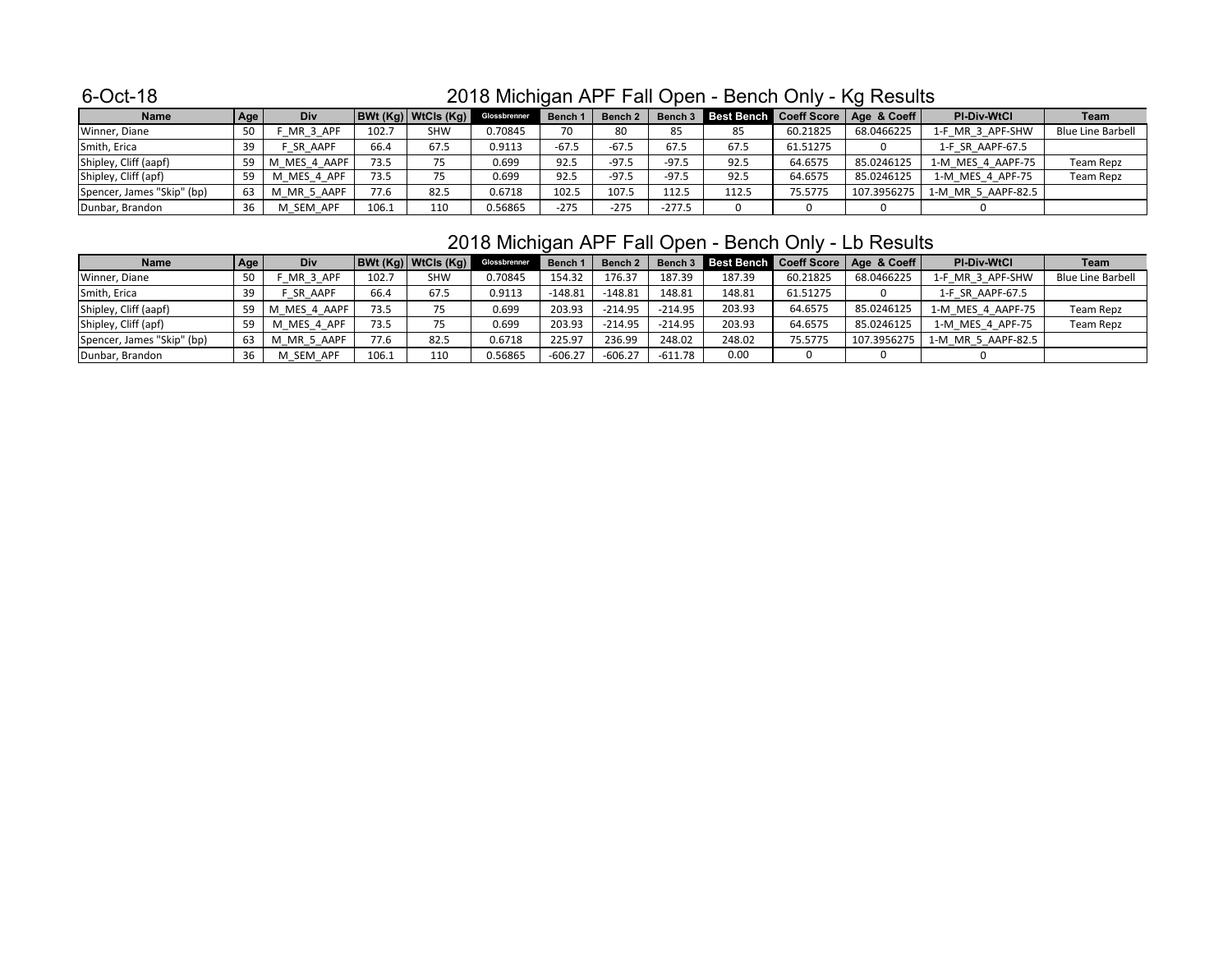| <b>Name</b>                | Age | Div               |       | BWt(Kg) WtCls(Kg) | Glossbrenner | Bench 1 | Bench <sub>2</sub> |          |       |          | Bench 3 Best Bench Coeff Score   Age & Coeff | <b>PI-Div-WtCl</b> | Team                     |
|----------------------------|-----|-------------------|-------|-------------------|--------------|---------|--------------------|----------|-------|----------|----------------------------------------------|--------------------|--------------------------|
| Winner, Diane              |     | _MR_3_APF         | 102.7 | SHW               | 0.70845      | 70      | 80                 | 85       | 85    | 60.21825 | 68.0466225                                   | 1-F_MR_3_APF-SHW   | <b>Blue Line Barbell</b> |
| Smith, Erica               |     | <b>SR AAPF</b>    | 66.4  | 67.5              | 0.9113       | $-67.5$ | $-67.5$            | 67.5     | 67.5  | 61.51275 |                                              | 1-F SR AAPF-67.5   |                          |
| Shipley, Cliff (aapf)      |     | MES 4 AAPF<br>I M | 73.5  | 75                | 0.699        | 92.5    | $-97.5$            | $-97.5$  | 92.5  | 64.6575  | 85.0246125                                   | 1-M MES 4 AAPF-75  | Team Repz                |
| Shipley, Cliff (apf)       |     | MES 4 APF         | 73.5  | 75                | 0.699        | 92.5    | $-97.5$            | $-97.5$  | 92.5  | 64.6575  | 85.0246125                                   | 1-M_MES_4_APF-75   | Team Repz                |
| Spencer, James "Skip" (bp) | 63  | M_MR_5_AAPF       | 77.6  | 82.5              | 0.6718       | 102.5   | 107.5              | 112.5    | 112.5 | 75.5775  | 107.3956275                                  | 1-M MR 5 AAPF-82.5 |                          |
| Dunbar, Brandon            |     | M SEM APF         | 106.1 | 110               | 0.56865      | $-275$  | $-275$             | $-277.5$ | 0     |          |                                              |                    |                          |

# 2018 Michigan APF Fall Open - Bench Only - Lb Results

| <b>Name</b>                | Age | <b>Div</b>        |       | BWt (Kg)   WtCls (Kg) | Glossbrenner | <b>Bench 1</b> | Bench <sub>2</sub> |           |        |          | Bench 3 Best Bench Coeff Score   Age & Coeff | <b>PI-Div-WtCl</b> | Team                     |
|----------------------------|-----|-------------------|-------|-----------------------|--------------|----------------|--------------------|-----------|--------|----------|----------------------------------------------|--------------------|--------------------------|
| Winner, Diane              | 50  | _MR_3_APF         | 102.7 | SHW                   | 0.70845      | 154.32         | 176.37             | 187.39    | 187.39 | 60.21825 | 68.0466225                                   | 1-F MR 3 APF-SHW   | <b>Blue Line Barbell</b> |
| Smith, Erica               | 39  | SR AAPF           | 66.4  | 67.5                  | 0.9113       | $-148.81$      | $-148.81$          | 148.81    | 148.81 | 61.51275 |                                              | 1-F SR AAPF-67.5   |                          |
| Shipley, Cliff (aapf)      |     | 59   M MES 4 AAPF | 73.5  |                       | 0.699        | 203.93         | $-214.95$          | $-214.95$ | 203.93 | 64.6575  | 85.0246125                                   | 1-M MES 4 AAPF-75  | Team Repz                |
| Shipley, Cliff (apf)       | 59  | M_MES_4_APF       | 73.5  |                       | 0.699        | 203.93         | $-214.95$          | $-214.95$ | 203.93 | 64.6575  | 85.0246125                                   | 1-M MES 4 APF-75   | Team Repz                |
| Spencer, James "Skip" (bp) | 63  | M_MR_5_AAPF       | 77.6  | 82.5                  | 0.6718       | 225.97         | 236.99             | 248.02    | 248.02 | 75.5775  | 107.3956275                                  | 1-M MR 5 AAPF-82.5 |                          |
| Dunbar, Brandon            | 36  | M SEM APF         | 106.1 | 110                   | 0.56865      | $-606.27$      | $-606.27$          | $-611.78$ | 0.00   |          |                                              |                    |                          |

# 2018 Michigan APF Fall Open - Bench Only - Kg Results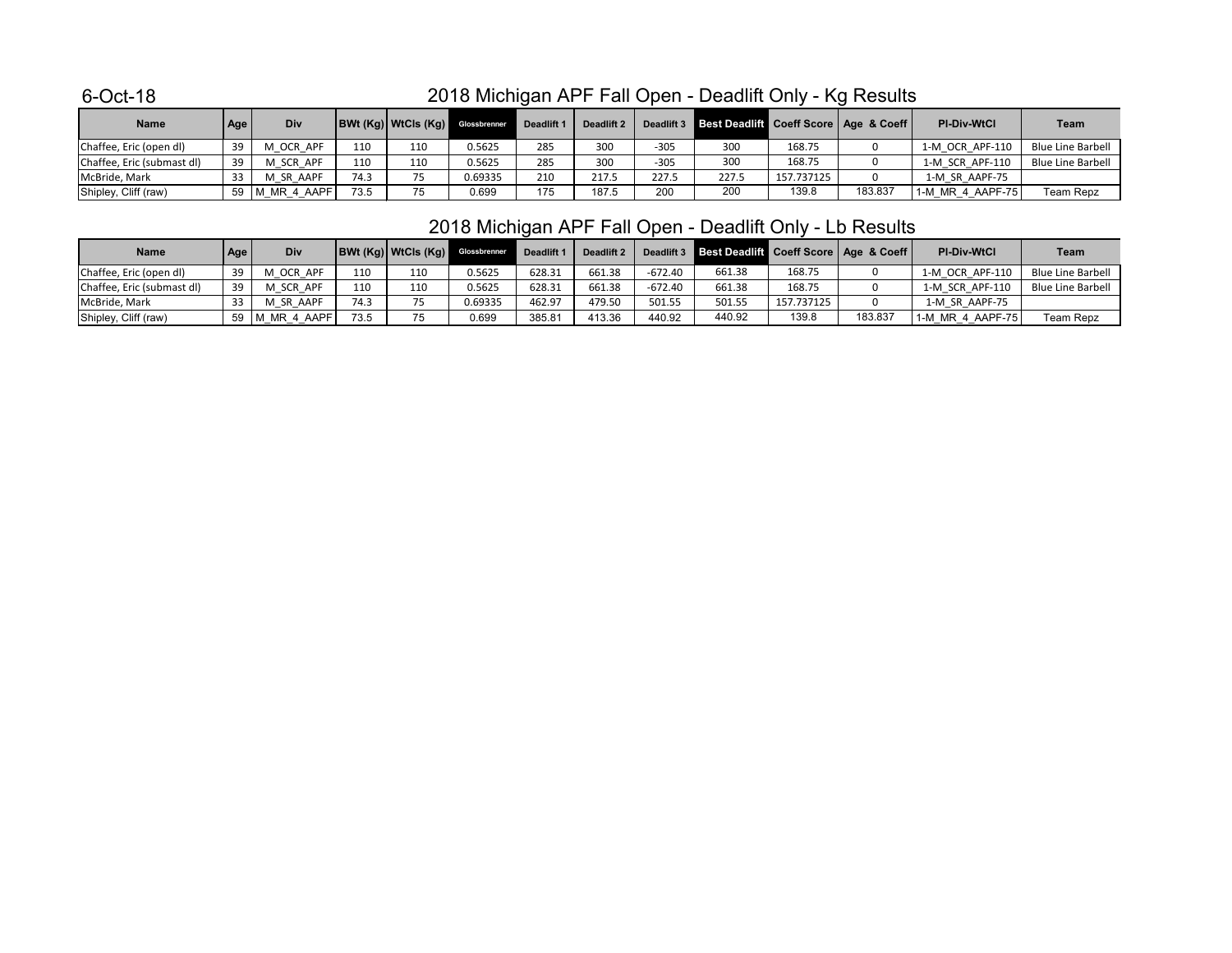| <b>Name</b>                | Age | Div         |      | <b>BWt (Kg) WtCls (Kg)</b> Glossbrenner |         | Deadlift 1 | Deadlift 2 | Deadlift 3 | Best Deadlift Coeff Score   Age & Coeff |            |         | <b>PI-Div-WtCl</b> | <b>Team</b>              |
|----------------------------|-----|-------------|------|-----------------------------------------|---------|------------|------------|------------|-----------------------------------------|------------|---------|--------------------|--------------------------|
| Chaffee, Eric (open dl)    | 39  | M OCR APF   | 110  | 110                                     | 0.5625  | 285        | 300        | $-305$     | 300                                     | 168.75     |         | 1-M OCR APF-110    | <b>Blue Line Barbell</b> |
| Chaffee, Eric (submast dl) | 39  | M SCR APF   | 110  | 110                                     | 0.5625  | 285        | 300        | $-305$     | 300                                     | 168.75     |         | 1-M SCR APF-110    | <b>Blue Line Barbell</b> |
| McBride, Mark              |     | M SR AAPF   | 74.3 | 75                                      | 0.69335 | 210        | 217.5      | 227.5      | 227.5                                   | 157.737125 |         | 1-M SR AAPF-75     |                          |
| Shipley, Cliff (raw)       | 59  | M_MR_4_AAPF | 73.5 | 75                                      | 0.699   | 175        | 187.5      | 200        | 200                                     | 139.8      | 183.837 | 1-M MR 4 AAPF-75   | Team Repz                |

| <b>Name</b>                | Age | <b>Div</b>       |      | <b>BWt (Kg) WtCls (Kg)</b> Glossbrenner |         | Deadlift 1 | Deadlift 2 | Deadlift 3 | Best Deadlift Coeff Score   Age & Coeff |            |         | <b>PI-Div-WtCl</b> | <b>Team</b>              |
|----------------------------|-----|------------------|------|-----------------------------------------|---------|------------|------------|------------|-----------------------------------------|------------|---------|--------------------|--------------------------|
| Chaffee, Eric (open dl)    | 39  | M OCR APF        | 110  | 110                                     | 0.5625  | 628.31     | 661.38     | $-672.40$  | 661.38                                  | 168.75     |         | 1-M OCR APF-110    | Blue Line Barbell        |
| Chaffee, Eric (submast dl) | 39  | SCR APF<br>м     | 110  | 110                                     | 0.5625  | 628.31     | 661.38     | -672.40    | 661.38                                  | 168.75     |         | 1-M SCR APF-110    | <b>Blue Line Barbell</b> |
| McBride, Mark              |     | M SR AAPF        | 74.3 | 75                                      | 0.69335 | 462.97     | 479.50     | 501.55     | 501.55                                  | 157.737125 |         | 1-M SR AAPF-75     |                          |
| Shipley, Cliff (raw)       |     | 59   M MR 4 AAPF | 73.5 | 75                                      | 0.699   | 385.81     | 413.36     | 440.92     | 440.92                                  | 139.8      | 183.837 | 1-M MR 4 AAPF-75   | Team Repz                |

# 2018 Michigan APF Fall Open - Deadlift Only - Kg Results

# 2018 Michigan APF Fall Open - Deadlift Only - Lb Results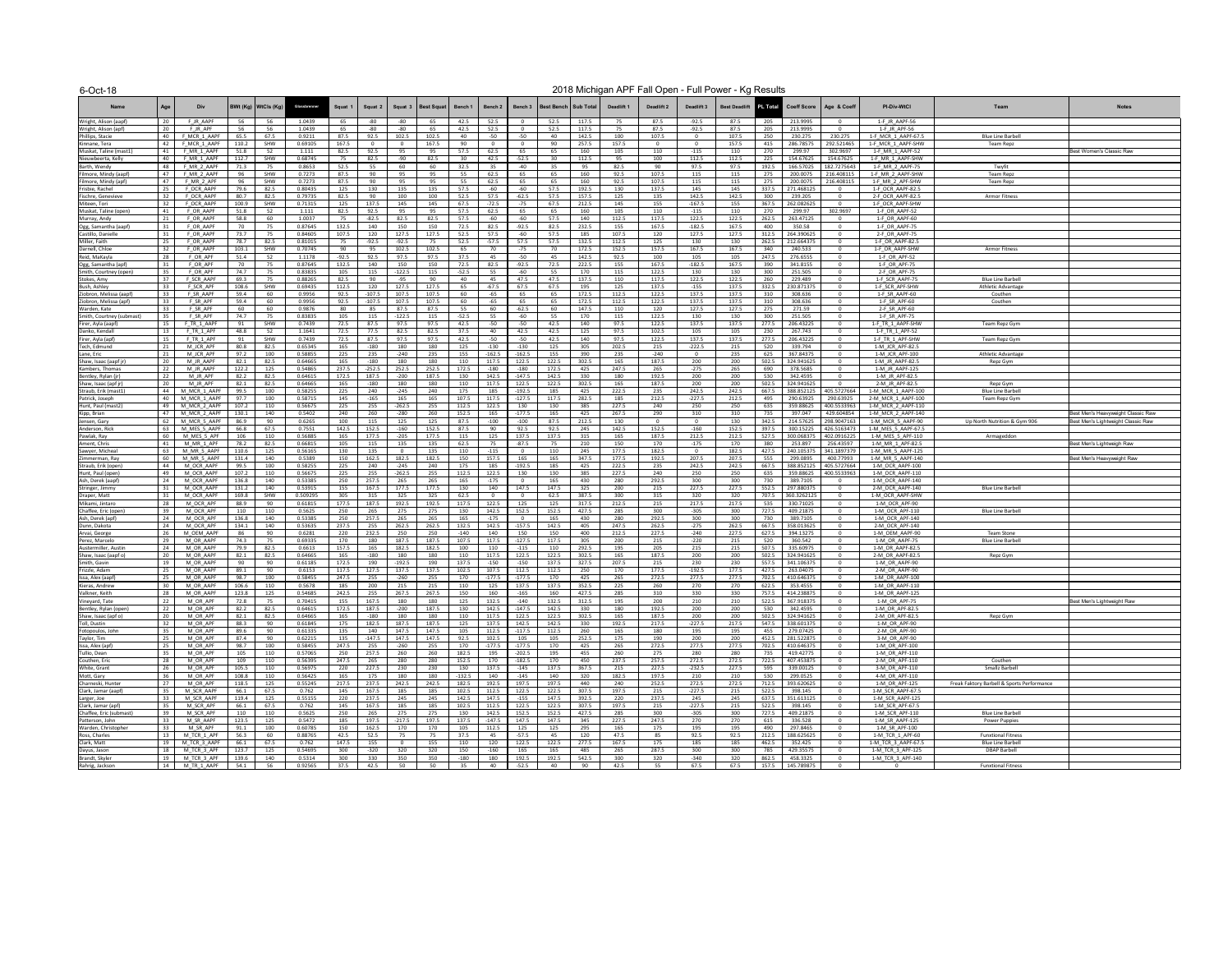| $U$ -UUL-TO                                     |            |                              |                |                       |                    |                |                 |                   |                      |                 |                    |                      |                |                        |                | 2010 Milchigali AFT Tail Open - Full FOWEL - Ry Results |                   |                        |                |                         |                           |                                          |                                            |                                    |
|-------------------------------------------------|------------|------------------------------|----------------|-----------------------|--------------------|----------------|-----------------|-------------------|----------------------|-----------------|--------------------|----------------------|----------------|------------------------|----------------|---------------------------------------------------------|-------------------|------------------------|----------------|-------------------------|---------------------------|------------------------------------------|--------------------------------------------|------------------------------------|
| <b>Name</b>                                     | Age        | <b>Div</b>                   |                | BWt (Kg)   WtCls (Kg) | Glossbrenner       | Squat 1        | Squat 2         |                   | Squat 3   Best Squat | <b>Bench 1</b>  | Bench <sub>2</sub> | <b>Bench 3</b>       |                | Best Bench   Sub Total | Deadlift 1     | Deadlift 2                                              | Deadlift 3        | Best Deadlift PL Total |                |                         | Coeff Score   Age & Coeff | <b>PI-Div-WtCl</b>                       | <b>Team</b>                                | <b>Notes</b>                       |
| Wright, Alison (aapf)                           | 20         | F JR AAPF                    | 56             | 56                    | 1.0439             | 65             | -80             | -80               |                      | 42.5            | 52.5               |                      | 52.5           | 117.5                  | 75             | 87.5                                                    | $-92.5$           | 87.5                   | 205            | 213.9995                |                           | 1-F JR AAPF-56                           |                                            |                                    |
| Wright, Alison (apf)                            | 20         | F JR APF                     | 56             | 56                    | 1.0439             | 65             | -80             | -80               |                      | 42.5            | 52.5               |                      | 52.5           | 117.5                  | 75             | 87.5                                                    | $-92.5$           | 87.5                   | 205            | 213.9995                |                           | 1-F JR APF-56                            |                                            |                                    |
| Phillips, Stacie                                | 40         | F MCR 1 AAPF                 | 65.5           | 67.5                  | 0.9211             | 87.5           | 92.5            | 102.5             | 102.5                | 40              | -50                | $-50$<br>റ           | 40             | 142.5                  | 100            | 107.5                                                   |                   | 107.5                  | 250            | 230.275                 | 230.275                   | 1-F MCR 1 AAPF-67.5                      | <b>Blue Line Barbell</b>                   |                                    |
| Kinnane, Tera<br>Muskat, Taline (mast1)         | 42<br>-41  | F MCR 1 AAPF<br>F MR 1 AAPF  | 110.2<br>51.8  | SHW<br>52             | 0.69105<br>1.111   | 167.5<br>82.5  | 92.5            | - 0<br>95         | 167.5                | 90<br>57.5      | 62.5               | 65                   | 90<br>65       | 257.5<br>160           | 157.5<br>105   | $\overline{0}$<br>110                                   | $-115$            | 157.5<br>110           | 415<br>270     | 286.78575<br>299.97     | 292.521465<br>302.9697    | 1-F_MCR_1_AAPF-SHW<br>1-F MR 1 AAPF-52   | Team Repz                                  | Best Women's Classic Raw           |
| Nieuwbeerta, Kelly                              | 40         | F MR 1 AAPF                  | 112.7          | SHW                   | 0.68745            | 75             | 82.5            | -90               | 82.5                 | 30              | 42.5               | $-52.5$              | 30             | 112.5                  | 95             | 100                                                     | 112.5             | 112.5                  | 225            | 154.67625               | 154.67625                 | 1-F MR 1 AAPF-SHW                        |                                            |                                    |
| Barth, Wendy                                    | 48         | F MR 2 AAPF                  | 71.3           | 75                    | 0.8653             | 52.5           | 55              | 60                | 60                   | 32.5            |                    | -40                  |                | 95                     | 82.5           | 90                                                      | 97.5              | 97.5                   | 192.5          | 166.57025               | 182.7275643               | 1-F MR 2 AAPF-75                         | Twyfit                                     |                                    |
| Filmore, Mindy (aapf)                           | -47        | F MR 2 AAPF                  |                | SHW                   | 0.7273             | 87.5           | 90              | 95                |                      | 55              | 62.5               | 65                   | 65             | 160                    | 92.5           | 107.5                                                   | 115               | 115                    | 275            | 200.0075                | 216.408115                | 1-F MR 2 AAPF-SHW                        | <b>Team Repz</b>                           |                                    |
| Filmore, Mindy (apf)                            | 47<br>25   | F MR 2 APF                   | 96<br>79.6     | SHW<br>82.5           | 0.7273<br>0.80435  | 87.5<br>125    | 90              | 95<br>135         |                      | 55<br>57.5      | 62.5<br>-60        | 65<br>-60            | 65<br>57.5     | 160<br>192.5           | 92.5           | 107.5<br>137.5                                          | 115<br>145        | 115<br>145             | 275<br>337.5   | 200.0075<br>271.468125  | 216.408115                | 1-F MR 2 APF-SHW<br>1-F OCR AAPF-82.5    | <b>Team Repz</b>                           |                                    |
| Frisbie, Rachel<br>Fischre, Genevieve           |            | F OCR AAPF<br>F_OCR_AAPF     | 80.7           | 82.5                  | 0.79735            | 82.5           | 130<br>90       | 100               | 135<br>100           | 52.5            | 57.5               | $-62.5$              | 57.5           | 157.5                  | 130<br>125     | 135                                                     | 142.5             | 142.5                  | 300            | 239.205                 |                           | 2-F_OCR_AAPF-82.5                        | Armor Fitness                              |                                    |
| Miteen, Tori                                    | 32         | F_OCR_AAPF                   | 100.9          | SHW                   | 0.71315            | 125            | 137.5           | 145               | 145                  | 67.5            | $-72.5$            | $-75$                | 67.5           | 212.5                  | 145            | 155                                                     | $-167.5$          | 155                    | 367.5          | 262.082625              |                           | 1-F OCR AAPF-SHW                         |                                            |                                    |
| Muskat, Taline (open)                           | -41        | F OR AAPF                    | 51.8           | 52                    | 1.111              | 82.5           | 92.5            | 95                |                      | 57.5            | 62.5               | 65                   | 65             | 160                    | 105            | 110                                                     | $-115$            | 110                    | 270            | 299.97                  | 302.9697                  | 1-F OR AAPF-52                           |                                            |                                    |
| Murray, Andy                                    |            | F OR AAPF                    | 58.8           | 60                    | 1.0037             | 75             | $-82.5$         | 82.5              | 82.5                 | 57.5            | -60                | -60                  | 57.5           | 140                    | 112.5          | 117.5                                                   | 122.5             | 122.5                  | 262.5          | 263.47125               |                           | 1-F OR AAPF-60                           |                                            |                                    |
| Ogg, Samantha (aapf)                            |            | F OR AAPF                    | 70             | 75                    | 0.87645            | 132.5          | 140             | 150<br>127.5      | 150                  | 72.5            | 82.5<br>57.5       | $-92.5$              | 82.5           | 232.5                  | 155            | 167.5                                                   | $-182.5$<br>127.5 | 167.5                  | 400            | 350.58<br>264.390625    |                           | 1-F OR AAPF-75                           |                                            |                                    |
| Castillo, Danielle<br>Miller, Faith             | 25         | F OR AAPF<br>F OR AAPF       | 73.7<br>78.7   | 75<br>82.5            | 0.84605<br>0.81015 | 107.5<br>75    | 120<br>$-92.5$  | $-92.5$           | 127.5                | 52.5<br>52.5    | $-57.5$            | -60<br>57.5          | 57.5<br>57.5   | 185<br>132.5           | 107.5<br>112.5 | 120<br>125                                              | 130               | 127.5<br>130           | 312.5<br>262.5 | 212.664375              |                           | 2-F OR AAPF-75<br>1-F OR AAPF-82.5       |                                            |                                    |
| Darnell, Chloe                                  |            | F OR AAPF                    | 103.1          | SHW                   | 0.70745            | 90             | 95              | 102.5             | 102.5                | 65.             |                    | -75                  |                | 172.5                  | 152.5          | 157.5                                                   | 167.5             | 167.5                  | 340            | 240.533                 |                           | 1-F OR AAPF-SHW                          | <b>Armor Fitness</b>                       |                                    |
| Reid, MaKayla                                   | -28        | F OR APF                     | 51.4           | 52                    | 1.1178             | $-92.5$        | 92.5            | 97.5              | 97.5                 | 37.5            |                    | $-50$                | 45             | 142.5                  | 92.5           | 100                                                     | 105               | 105                    | 247.5          | 276.6555                |                           | 1-F OR APF-52                            |                                            |                                    |
| Ogg, Samantha (apf)                             |            | F OR APF                     | 70             | 75                    | 0.87645            | 132.5          | 140             | 150               | 150                  | 72.5            | 82.5               | $-92.5$              | 72.5           | 222.5                  | 155            | 167.5                                                   | $-182.5$          | 167.5                  | 390            | 341.8155                |                           | 1-F OR APF-75                            |                                            |                                    |
| Smith, Courtney (open)<br>Stokes, Amy           | 35<br>-37  | F OR APF<br>F SCR AAPF       | 74.7<br>69.3   | 75<br>75              | 0.83835<br>0.88265 | 105<br>82.5    | 115<br>90       | $-122.5$<br>-95   | 115                  | $-52.5$<br>40   | 55                 | -60<br>47.5          | 55<br>47.5     | 170<br>137.5           | 115<br>110     | 122.5<br>117.5                                          | 130<br>122.5      | 130<br>122.5           | 300<br>260     | 251.505<br>229.489      |                           | 2-F OR APF-75<br>1-F SCR AAPF-75         | <b>Blue Line Barbell</b>                   |                                    |
| Bush, Ashley                                    | -33        | F SCR APF                    | 108.6          | SHW                   | 0.69435            | 112.5          | 120             | 127.5             | 127.5                | 65              | $-67.5$            | 67.5                 | 67.5           | 195                    | 125            | 137.5                                                   | $-155$            | 137.5                  | 332.5          | 230.871375              |                           | 1-F_SCR_APF-SHW                          | <b>Athletic Advantage</b>                  |                                    |
| Ziobron, Melissa (aapf)                         | -33        | F SR AAPF                    | 59.4           | 60                    | 0.9956             | 92.5           | $-107.5$        | 107.5             | 107.5                | 60              | -65                | 65                   | 65             | 172.5                  | 112.5          | 122.5                                                   | 137.5             | 137.5                  | 310            | 308.636                 |                           | 1-F SR AAPF-60                           | Couthen                                    |                                    |
| Ziobron, Melissa (apf)                          | -33        | F SR APF                     | 59.4           | 60                    | 0.9956             | 92.5           | $-107.5$        | 107.5             | 107.5                | 60.             | -65                | 65                   | 65             | 172.5                  | 112.5          | 122.5                                                   | 137.5             | 137.5                  | 310            | 308.636                 |                           | 1-F SR APF-60                            | Couthen                                    |                                    |
| Warden, Kate                                    | 33         | F SR APF                     | 60             | 60                    | 0.9876             | 80             | 85              | 87.5              | 87.5                 | 55              | 60                 | $-62.5$              | 60             | 147.5                  | 110            | 120                                                     | 127.5             | 127.5                  | 275            | 271.59                  |                           | 2-F_SR_APF-60                            |                                            |                                    |
| Smith, Courtney (submast)<br>Firer, Ayla (aapf) | 35<br>15   | F SR APF<br>F TR 1 AAPF      | 74.7<br>91     | 75<br>SHW             | 0.83835<br>0.7439  | 105<br>72.5    | 115<br>87.5     | $-122.5$<br>97.5  | 115<br>97.5          | $-52.5$<br>42.5 | 55<br>$-50$        | -60<br>-50           | 55<br>42.5     | 170<br>140             | 115<br>97.5    | 122.5<br>122.5                                          | 130<br>137.5      | 130<br>137.5           | 300<br>277.5   | 251.505<br>206.43225    |                           | 1-F SR APF-75<br>1-F TR 1 AAPF-SHW       | Team Repz Gym                              |                                    |
| Danko, Kendall                                  | -13        | F TR 1 APF                   | 48.8           | 52                    | 1.1641             | 72.5           | 77.5            | 82.5              | 82.5                 | 37.5            | 40                 | 42.5                 | 42.5           | 125                    | 97.5           | 102.5                                                   | 105               |                        | 230            | 267.743                 |                           | 1-F TR 1 APF-52                          |                                            |                                    |
| Firer, Ayla (apf)                               | 15         | F TR 1 APF                   | 91             | SHW                   | 0.7439             | 72.5           | 87.5            | 97.5              | 97.5                 | 42.5            | $-50$              | $-50$                | 42.5           | 140                    | 97.5           | 122.5                                                   | 137.5             | 137.5                  | 277.5          | 206.43225               |                           | 1-F TR 1 APF-SHW                         | Team Repz Gym                              |                                    |
| Tech, Edmund                                    |            | M JCR APF                    | 80.8           | 82.5                  | 0.65345            | 165            | $-180$          | 180               | 180                  | 125             | -130               | -130                 | 125            | 305                    | 202.5          | 215                                                     | $-222.5$          | 215                    | 520            | 339.794                 |                           | 1-M JCR APF-82.5                         |                                            |                                    |
| Lane, Eric                                      |            | M_JCR_APF<br>M JR AAPF       | 97.2<br>82.1   | 100<br>82.5           | 0.58855<br>0.64665 | 225<br>165     | 235<br>$-180$   | $-240$<br>180     | 235                  | 155<br>110      | $-162.5$<br>117.5  | $-162.5$<br>122.5    | 155<br>122.5   | 390<br>302.5           | 235<br>165     | -240<br>187.5                                           | 200               | 235<br>200             | 625<br>502.5   | 367.84375<br>324.941625 |                           | 1-M JCR APF-100<br>1-M JR AAPF-82.5      | Athletic Advantage                         |                                    |
| Shaw, Isaac (aapf jr<br>Kambers, Thomas         | 22         | M JR AAPF                    | 122.2          | 125                   | 0.54865            | 237.5          | $-252.5$        | 252.5             | 252.5                | 172.5           | $-180$             | $-180$               | 172.5          | 425                    | 247.5          | 265                                                     | $-275$            | 265                    | 690            | 378.5685                |                           | 1-M JR AAPF-125                          | Repz Gym                                   |                                    |
| Bentley, Rylan (jr                              | -22        | M JR APF                     | 82.2           | 82.5                  | 0.64615            | 172.5          | 187.5           | $-200$            | 187.5                | 130             | 142.5              | $-147.5$             | 142.5          | 330                    | 180            | 192.5                                                   | 200               | 200                    | 530            | 342.4595                |                           | 1-M JR APF-82.5                          |                                            |                                    |
| Shaw, Isaac (apf jr)                            | -20        | M JR APF                     | 82.1           | 82.5                  | 0.64665            | 165            | $-180$          | 180               | 180                  | 110             | 117.5              | 122.5                | 122.5          | 302.5                  | 165            | 187.5                                                   | 200               | 200                    | 502.5          | 324.941625              |                           | 2-M JR APF-82.5                          | Repz Gym                                   |                                    |
| Straub, Erik (mast1)                            | -44        | M MCR 1 AAPF                 | 99.5           | 100                   | 0.58255            | 225            | 240             | $-245$            | 240                  | 175             | 185                | $-192.5$             | 185            | 425                    | 222.5          | 235                                                     | 242.5             | 242.5                  | 667.5          | 388.852125              | 405.5727664               | 1-M MCR 1 AAPF-100                       | <b>Blue Line Barbell</b>                   |                                    |
| Patrick, Joseph<br>Hunt, Paul (mast2)           | 40<br>49   | M MCR 1 AAPF<br>M MCR 2 AAPF | 97.7<br>107.2  | 100<br>110            | 0.58715<br>0.56675 | 145<br>225     | $-165$<br>255   | 165<br>$-262.5$   | 16!<br>255           | 107.5<br>112.5  | 117.5<br>122.5     | $-127.5$<br>130      | 117.5<br>130   | 282.5<br>385           | 185<br>227.5   | 212.5<br>240                                            | $-227.5$<br>250   | 212.5<br>250           | 495<br>635     | 290.63925<br>359.88625  | 290.63925<br>400.5533963  | 2-M MCR 1 AAPF-100<br>1-M MCR 2 AAPF-110 | Team Repz Gym                              |                                    |
| Kipp, Brian                                     | 47         | M MCR 2 AAPF                 | 130.1          | 140                   | 0.5402             | 240            | 260             | $-280$            | 26                   | 152.5           | 165                | $-177.5$             | 165            | 425                    | 267.5          | 290                                                     | 310               | 310                    | 735            | 397.047                 | 429.604854                | 1-M MCR 2 AAPF-140                       |                                            | Best Men's Heavyweight Classic Raw |
| Jensen, Gary                                    | -62        | M MCR 5 AAPF                 | 86.9           | 90                    | 0.6265             | 100            | 115             | 125               | 125                  | 87.5            | $-100$             | -100                 | 87.5           | 212.5                  | 130            | $\overline{0}$                                          |                   | 130                    | 342.5          | 214.57625               | 298.904716                | 1-M MCR 5 AAPF-90                        | Up North Nutrition & Gym 906               | Best Men's Lightweight Classic Raw |
| Anderson, Rick                                  |            | M MES 5 AAPF                 | 66.8           | 67.5                  | 0.7551             | 142.5          | 152.5           | $-160$            | 152.5                | 87.5            | -90                | 92.5                 | 92.5           | 245                    | 142.5          | 152.5                                                   | $-160$            | 152.5                  | 397.5          | 300.15225               | 426.516347                | 1-M MES 5 AAPF-67.5                      |                                            |                                    |
| Pawlak, Ray                                     | ഹ          | M MES 5 APF                  | 106            | 110                   | 0.56885            | 165            | 177.5           | $-205$            | 177.5                | 115             | 125                | 137.5                | 137.5          | 315                    | 165            | 187.5                                                   | 212.5             | 212.5                  | 527.5          | 300.068375              | 402.091622                | 1-M MES 5 APF-110                        | Armageddon                                 |                                    |
| Ament, Chris<br>Sawyer, Micheal                 |            | M MR 1 APF<br>M MR 5 AAPF    | 78.2<br>110.6  | 82.5<br>125           | 0.66815<br>0.56165 | 105<br>130     | 115<br>135      | 135<br>- 0        | 135<br>135           | 62.5<br>110     | -115               | $-87.5$<br>$\Omega$  | 75<br>110      | 210<br>245             | 150<br>177.5   | 170<br>182.5                                            | $-175$            | 170<br>182.5           | 380<br>427.5   | 253.897<br>240.105375   | 256.43597<br>341.189737   | 1-M MR 1 APF-82.5<br>1-M MR 5 AAPF-125   |                                            | Best Men's Lightweigh Raw          |
| Zimmerman, Ray                                  | -60        | M MR 5 AAPF                  | 131.4          | 140                   | 0.5389             | 150            | 162.5           | 182.5             | 182.5                | 150             | 157.5              | 165                  | 165            | 347.5                  | 177.5          | 192.5                                                   | 207.5             | 207.5                  | 555            | 299.0895                | 400.77993                 | 1-M MR 5 AAPF-140                        |                                            | Best Men's Heavyweight Raw         |
| Straub, Erik (open                              |            | M OCR AAPF                   | 99.5           | 100                   | 0.58255            | 225            | 240             | $-245$            | 240                  | 175             | 185                | $-192.5$             | 185            | 425                    | 222.5          | 235                                                     | 242.5             | 242.                   | 667.5          | 388.852125              | 405.5727664               | 1-M OCR AAPF-100                         |                                            |                                    |
| Hunt, Paul (open                                | 49         | M OCR AAPF                   | 107.2          | 110                   | 0.56675            | 225            | 255             | $-262.5$          | 255                  | 112.5           | 122.5              | 130                  | 130            | 385                    | 227.5          | 240                                                     | 250               | 250                    | 635            | 359.88625               | 400.5533963               | 1-M OCR AAPF-110                         |                                            |                                    |
| Ash, Derek (aapf)                               | -24        | M OCR AAPF<br>M OCR AAPF     | 136.8<br>131.2 | 140<br>140            | 0.53385<br>0.53915 | 250<br>155     | 257.5<br>167.5  | 265<br>177.5      | 26<br>177.5          | 165<br>130      | -175<br>140        | 147.5                | 165<br>147.5   | 430<br>325             | 280<br>200     | 292.5<br>215                                            | 300<br>227.5      | 300<br>227.5           | 730<br>552.5   | 389.7105<br>297.880375  |                           | 1-M OCR AAPF-140<br>2-M OCR AAPF-140     | <b>Blue Line Barbell</b>                   |                                    |
| Stringer, Jimmy<br>Draper, Matt                 |            | M_OCR_AAPF                   | 169.8          | SHW                   | 0.509295           | 305            | 315             | 325               | 325                  | 62.5            |                    | $\Omega$             | 62.5           | 387.5                  | 300            | 315                                                     | 320               | 320                    | 707.5          | 360.3262125             |                           | 1-M_OCR_AAPF-SHW                         |                                            |                                    |
| Mikami, Jintaro                                 |            | M OCR APF                    | 88.9           | 90                    | 0.61815            | 177.5          | 187.5           | 192.5             | 192.5                | 117.5           | 122.5              | 125                  | 125            | 317.5                  | 212.5          | 215                                                     | 217.5             | 217.5                  | 535            | 330.71025               |                           | 1-M OCR APF-90                           |                                            |                                    |
| Chaffee, Eric (open)                            | -39        | M OCR APF                    | 110            | 110                   | 0.5625             | 250            | 265             | 275               | 275                  | 130             | 142.5              | 152.5                | 152.5          | 427.5                  | 285            | 300                                                     | $-305$            | 300                    | 727.5          | 409.21875               |                           | 1-M OCR APF-110                          | <b>Blue Line Barbell</b>                   |                                    |
| Ash, Derek (apf)<br>Dunn, Dakota                |            | M_OCR_APF<br>M OCR APF       | 136.8<br>134.1 | 140<br>140            | 0.53385<br>0.53635 | 250<br>237.5   | 257.5<br>255    | 265<br>262.5      | 265<br>262.5         | 165<br>132.5    | -175<br>142.5      | $-157.5$             | 165<br>142.5   | 430<br>405             | 280<br>247.5   | 292.5<br>262.5                                          | 300<br>$-275$     | 300<br>262.5           | 730<br>667.5   | 389.7105<br>358.013625  |                           | 1-M_OCR_APF-140<br>2-M OCR APF-140       |                                            |                                    |
| Arvai, George                                   |            | M OEM AAPF                   | 86             | 90                    | 0.6281             | 220            | 232.5           | 250               | 250                  | $-140$          | 140                | 150                  | 150            | 400                    | 212.5          | 227.5                                                   | $-240$            | 227.5                  | 627.5          | 394.13275               |                           | 1-M OEM AAPF-90                          | <b>Team Stone</b>                          |                                    |
| Perez, Marcelo                                  |            | M OR AAPF                    | 74.3           | 75                    | 0.69335            | 170            | 180             | 187.5             | 187.5                | 107.5           | 117.5              | $-127.5$             | 117.5          | 305                    | 200            | 215                                                     | $-220$            | 215                    | 520            | 360.542                 |                           | 1-M OR AAPF-75                           | <b>Blue Line Barbell</b>                   |                                    |
| Austermiller, Austin                            |            | M OR AAPF                    | 79.9           | 82.5                  | 0.6613             | 157.5          | 165             | 182.5             | 182.5                | 100             | 110                | -115                 | 110            | 292.5                  | 195            | 205                                                     | 215               | 215                    | 507.5          | 335.60975               |                           | 1-M_OR_AAPF-82.5                         |                                            |                                    |
| Shaw, Isaac (aapf o)                            |            | M OR AAPF                    | 82.1           | 82.5<br>-90           | 0.64665            | 165            | $-180$          | 180               | 180                  | 110             | 117.5              | 122.5                | 122.5          | 302.5                  | 165            | 187.5                                                   | 200               | 200                    | 502.5          | 324.941625              |                           | 2-M OR AAPF-82.5                         | Repz Gym                                   |                                    |
| Smith, Gavin<br>Frizzle, Adam                   | 19<br>25   | M OR AAPF<br>M OR AAPF       | 90<br>89.1     | 90                    | 0.61185<br>0.6153  | 172.5<br>117.5 | 190<br>127.5    | $-192.5$<br>137.5 | 190<br>137.5         | 137.5<br>102.5  | -150<br>107.5      | -150<br>112.5        | 137.5<br>112.5 | 327.5<br>250           | 207.5          | 215<br>177.5                                            | 230<br>$-192.5$   | 230<br>177.5           | 557.5<br>427.5 | 341.106375<br>263.04075 |                           | 1-M OR AAPF-90<br>2-M OR AAPF-90         |                                            |                                    |
| Issa, Alex (aapf)                               | 25         | M OR AAPF                    | 98.7           | 100                   | 0.58455            | 247.5          | 255             | $-260$            | 255                  | 170             | $-177.5$           | $-177.5$             | 170            | 425                    | 265            | 272.5                                                   | 277.5             | 277.5                  | 702.5          | 410.646375              |                           | 1-M OR AAPF-100                          |                                            |                                    |
| Kieras, Andrew                                  | 30         | M OR AAPF                    | 106.6          | 110                   | 0.5678             | 185            | 200             | 215               | 215                  | 110             | 125                | 137.5                | 137.5          | 352.5                  | 225            | 260                                                     | 270               | 270                    | 622.5          | 353.4555                |                           | 1-M OR AAPF-110                          |                                            |                                    |
| Valkner, Keith                                  |            | M OR AAPF                    | 123.8          | 125                   | 0.54685            | 242.5          | 255             | 267.5             | 267.5                | 150             | 160                | -165                 | 160            | 427.5                  | 285            | 310                                                     | 330               | 330                    | 757.5          | 414.238875              |                           | 1-M_OR_AAPF-125                          |                                            |                                    |
| Vineyard, Tate                                  |            | M OR APF                     | 72.8           | 75                    | 0.70415            | 155<br>172.5   | 167.5           | 180               | 180                  | 125<br>130      | 132.5<br>142.5     | -140<br>$-147.5$     | 132.5          | 312.5                  | 195<br>180     | 200<br>192.5                                            | 210               | 210                    | 522.5          | 367.918375<br>342.4595  |                           | 1-M_OR_APF-75<br>1-M OR APF-82.5         |                                            | Best Men's Lightweight Raw         |
| Bentley, Rylan (open)<br>Shaw, Isaac (apf o)    | -20        | M OR APF<br>M OR APF         | 82.2<br>82.1   | 82.5<br>82.5          | 0.64615<br>0.64665 | 165            | 187.5<br>$-180$ | $-200$<br>180     | 187.5<br>180         | 110             | 117.5              | 122.5                | 142.5<br>122.5 | 330<br>302.5           | 165            | 187.5                                                   | 200<br>200        | 200<br>200             | 530<br>502.5   | 324.941625              |                           | 2-M OR APF-82.5                          | Repz Gym                                   |                                    |
| Toll, Dustin                                    | -32        | M OR APF                     | 88.3           | 90                    | 0.61845            | 175            | 182.5           | 187.5             | 187.5                | 125             | 137.5              | 142.5                | 142.5          | 330                    | 192.5          | 217.5                                                   | $-227.5$          | 217.5                  | 547.5          | 338.601375              |                           | 1-M OR APF-90                            |                                            |                                    |
| Fotopoulos, John                                |            | M OR APF                     | 89.6           | 90                    | 0.61335            | 135            | 140             | 147.5             | 147.5                | 105             | 112.5              | $-117.5$             | 112.5          | 260                    | 165            | 180                                                     | 195               | 195                    | 455            | 279.07425               |                           | 2-M_OR_APF-90                            |                                            |                                    |
| Taylor, Tim                                     | -25        | M OR APF                     | 87.4           | 90                    | 0.62215            | 135            | $-147.5$        | 147.5             | 147.5                | 92.5            | 102.5              | 105                  | 105            | 252.5                  | 175            | 190                                                     | 200               | 200                    | 452.5          | 281.522875              |                           | 3-M OR APF-90                            |                                            |                                    |
| Issa, Alex (apf)<br>Tullio, Dean                | 25<br>-35  | M OR APF<br>M OR APF         | 98.7<br>105    | 100<br>110            | 0.58455<br>0.57065 | 247.5<br>250   | 255<br>257.5    | $-260$<br>260     | 255<br>26            | 170<br>182.5    | $-177.5$<br>195    | $-177.5$<br>$-202.5$ | 170<br>195     | 425<br>455             | 265<br>260     | 272.5<br>275                                            | 277.5<br>280      | 277.5<br>28            | 702.5<br>735   | 410.646375<br>419.42775 |                           | 1-M OR APF-100<br>1-M OR APF-110         |                                            |                                    |
| Couthen, Eric                                   | 28         | M OR APF                     | 109            | 110                   | 0.56395            | 247.5          | 265             | 280               | 280                  | 152.5           | 170                | $-182.5$             | 170            | 450                    | 237.5          | 257.5                                                   | 272.5             | 272.5                  | 722.5          | 407.453875              |                           | 2-M_OR_APF-110                           | Couthen                                    |                                    |
| White, Grant                                    |            | M OR APF                     | 105.5          | 110                   | 0.56975            | 220            | 227.5           | 230               | 230                  | 130             | 137.5              | $-145$               | 137.5          | 367.5                  | 215            | 227.5                                                   | $-232.5$          | 227.5                  | 595            | 339.00125               |                           | 3-M OR APF-110                           | Smallz Barbell                             |                                    |
| Mott, Gary                                      |            | M OR APF                     | 108.8          | 110                   | 0.56425            | 165            | 175             | 180               | 180                  | $-132.5$        | 140                | -145                 | 140            | 320                    | 182.5          | 197.5                                                   | 210               | 210                    | 530            | 299.0525                |                           | 4-M OR APF-110                           |                                            |                                    |
| Charneski, Hunte                                |            | M OR APF                     | 118.5          | 125                   | 0.55245            | 217.5          | 237.5           | 242.5             | 242.5                | 182.5           | 192.5              | 197.5                | 197.5          | 440                    | 240            | 252.5                                                   | 272.5             | 272.5                  | 712.5          | 393.620625              |                           | 1-M OR APF-125                           | Freak Faktory Barbell & Sports Performance |                                    |
| Clark, Jamar (aapf)<br>Larger, Joe              | -35<br>-33 | M SCR AAPF<br>M SCR AAPF     | 66.1<br>119.4  | 67.5<br>125           | 0.762<br>0.55155   | 145<br>220     | 167.5<br>237.5  | 185<br>245        | 185<br>245           | 102.5<br>142.5  | 112.5<br>147.5     | 122.5<br>-155        | 122.5<br>147.5 | 307.5<br>392.5         | 197.5<br>220   | 215<br>237.5                                            | $-227.5$<br>245   | 215<br>245             | 522.5<br>637.5 | 398.145<br>351.613125   |                           | 1-M SCR AAPF-67.5<br>1-M SCR AAPF-125    |                                            |                                    |
| Clark, Jamar (apf)                              |            | M SCR APF                    | 66.1           | 67.5                  | 0.762              | 145            | 167.5           | 185               | 185                  | 102.5           | 112.5              | 122.5                | 122.5          | 307.5                  | 197.5          | 215                                                     | $-227.5$          | -215                   | 522.5          | 398.145                 |                           | 1-M SCR APF-67.5                         |                                            |                                    |
| Chaffee, Eric (submast)                         | -39        | M SCR APF                    | 110            | 110                   | 0.5625             | 250            | 265             | 275               | 275                  | 130             | 142.5              | 152.5                | 152.5          | 427.5                  | 285            | 300                                                     | $-305$            | 300                    | 727.5          | 409.21875               |                           | 1-M_SCR_APF-110                          | <b>Blue Line Barbell</b>                   |                                    |
| Patterson, John                                 | -33        | M SR AAPF                    | 123.5          | 125                   | 0.5472             | 185            | 197.5           | $-217.5$          | 197.5                | 137.5           | -147.5             | 147.5                | 147.5          | 345                    | 227.5          | 247.5                                                   | 270               | 270                    | 615            | 336.528                 |                           | 1-M SR AAPF-125                          | <b>Power Puppies</b>                       |                                    |
| Warden, Christopher<br>Ross, Charles            | 33         | M SR APF<br>M TCR 1 APF      | 91.1<br>56.3   | 100<br>60             | 0.60785<br>0.88765 | 150<br>42.5    | 162.5<br>52.5   | 170<br>75         | 170                  | 105<br>37.5     | 112.5<br>-45       | 125<br>$-57.5$       | 125<br>45      | 295<br>120             | 165<br>47.5    | 175<br>85                                               | 195<br>92.5       | 195<br>92.5            | 490<br>212.5   | 297.8465<br>188.625625  |                           | 1-M SR APF-100<br>1-M TCR 1 APF-60       | <b>Funxtional Fitness</b>                  |                                    |
| Clark, Matt                                     |            | M TCR 3 AAPF                 | 66.1           | 67.5                  | 0.762              | 147.5          | 155             |                   | 155                  | 110             | 120                | 122.5                | 122.5          | 277.5                  | 167.5          | 175                                                     | 185               | 185                    | 462.5          | 352.425                 |                           | 1-M TCR 3 AAPF-67.5                      | <b>Blue Line Barbell</b>                   |                                    |
| Dayus, Jason                                    | 18         | M TCR 3 APF                  | 123.7          | 125                   | 0.54695            | 300            | $-320$          | 320               | 320                  | 150             | -160               | 165                  | 165            | 485                    | 265            | 287.5                                                   | 300               | 300                    | 785            | 429.35575               |                           | 1-M TCR 3 APF-125                        | <b>DBAP Barbell</b>                        |                                    |
| Brandt, Skyler                                  | 19         | M TCR 3 APF                  | 139.6          | 140                   | 0.5314             | 300            | 330             | 350               |                      | 180             | 180                | 192.5                | 192.5          | 542.5                  | 300            | 320                                                     | $-340$            |                        | 862.5          | 458.3325                |                           | 1-M_TCR_3_APF-140                        |                                            |                                    |
| Rahrig, Jacksor                                 | 14         | M TR 1 AAPF                  | 54.1           | 56                    | 0.92565            | 37.5           | 42.5            | 50                | 50                   | 35              | 40                 | $-52.5$              | 40             | 90                     | 42.5           | 55                                                      | 67.5              | 67.5                   | 157.5          | 145.789875              |                           |                                          | <b>Funxtional Fitness</b>                  |                                    |

| <b>Team</b>                                                           | <b>Notes</b>                       |
|-----------------------------------------------------------------------|------------------------------------|
|                                                                       |                                    |
| <b>Blue Line Barbell</b>                                              |                                    |
| <b>Team Repz</b>                                                      |                                    |
|                                                                       | <b>Best Women's Classic Raw</b>    |
| Twyfit                                                                |                                    |
| <b>Team Repz</b><br><b>Team Repz</b>                                  |                                    |
|                                                                       |                                    |
| <b>Armor Fitness</b>                                                  |                                    |
|                                                                       |                                    |
|                                                                       |                                    |
|                                                                       |                                    |
|                                                                       |                                    |
| <b>Armor Fitness</b>                                                  |                                    |
|                                                                       |                                    |
| <b>Blue Line Barbell</b>                                              |                                    |
| Athletic Advantage                                                    |                                    |
| Couthen<br>Couthen                                                    |                                    |
|                                                                       |                                    |
|                                                                       |                                    |
| Team Repz Gym                                                         |                                    |
| Team Repz Gym                                                         |                                    |
|                                                                       |                                    |
| Athletic Advantage<br>Repz Gym                                        |                                    |
|                                                                       |                                    |
| Repz Gym                                                              |                                    |
| <b>Blue Line Barbell</b>                                              |                                    |
| Team Repz Gym                                                         |                                    |
|                                                                       | Best Men's Heavyweight Classic Raw |
| Up North Nutrition & Gym 906                                          | Best Men's Lightweight Classic Raw |
|                                                                       |                                    |
| Armageddon                                                            |                                    |
|                                                                       | Best Men's Lightweigh Raw          |
|                                                                       |                                    |
|                                                                       | Best Men's Heavyweight Raw         |
|                                                                       |                                    |
| <b>Blue Line Barbell</b>                                              |                                    |
|                                                                       |                                    |
| <b>Blue Line Barbell</b>                                              |                                    |
|                                                                       |                                    |
| <b>Team Stone</b>                                                     |                                    |
| <b>Blue Line Barbell</b>                                              |                                    |
|                                                                       |                                    |
| Repz Gym                                                              |                                    |
|                                                                       |                                    |
|                                                                       |                                    |
|                                                                       |                                    |
|                                                                       | Best Men's Lightweight Raw         |
| Repz Gym                                                              |                                    |
|                                                                       |                                    |
|                                                                       |                                    |
|                                                                       |                                    |
| Couthen                                                               |                                    |
| Smallz Barbell                                                        |                                    |
|                                                                       |                                    |
|                                                                       |                                    |
|                                                                       |                                    |
| reak Faktory Barbell & Sports Performance<br><b>Blue Line Barbell</b> |                                    |
| <b>Power Puppies</b>                                                  |                                    |
| <b>Funxtional Fitness</b>                                             |                                    |
| <b>Blue Line Barbell</b>                                              |                                    |
| <b>DBAP Barbell</b>                                                   |                                    |